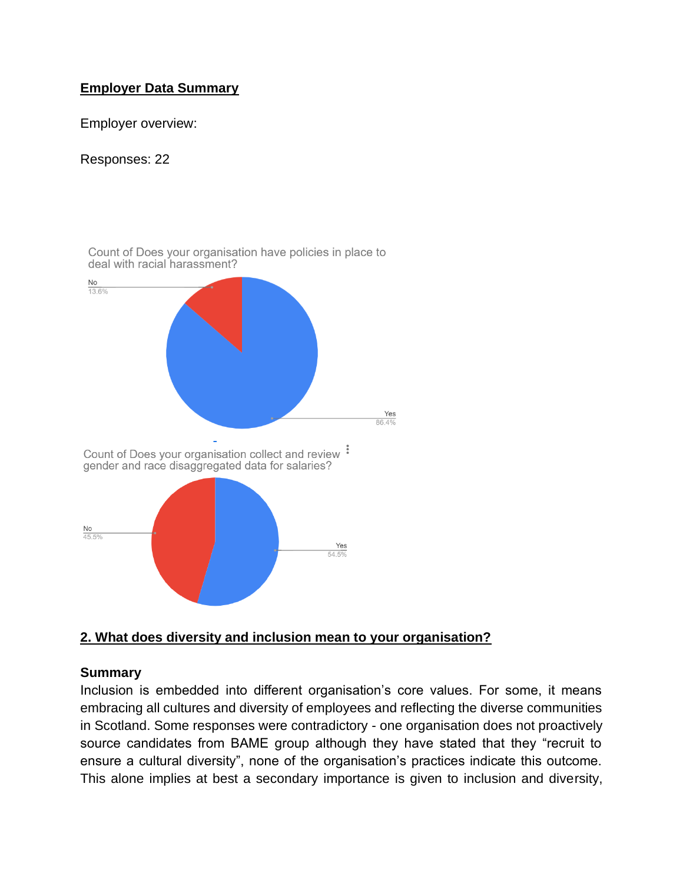# **Employer Data Summary**

Employer overview:

#### Responses: 22



#### **2. What does diversity and inclusion mean to your organisation?**

#### **Summary**

Inclusion is embedded into different organisation's core values. For some, it means embracing all cultures and diversity of employees and reflecting the diverse communities in Scotland. Some responses were contradictory - one organisation does not proactively source candidates from BAME group although they have stated that they "recruit to ensure a cultural diversity", none of the organisation's practices indicate this outcome. This alone implies at best a secondary importance is given to inclusion and diversity,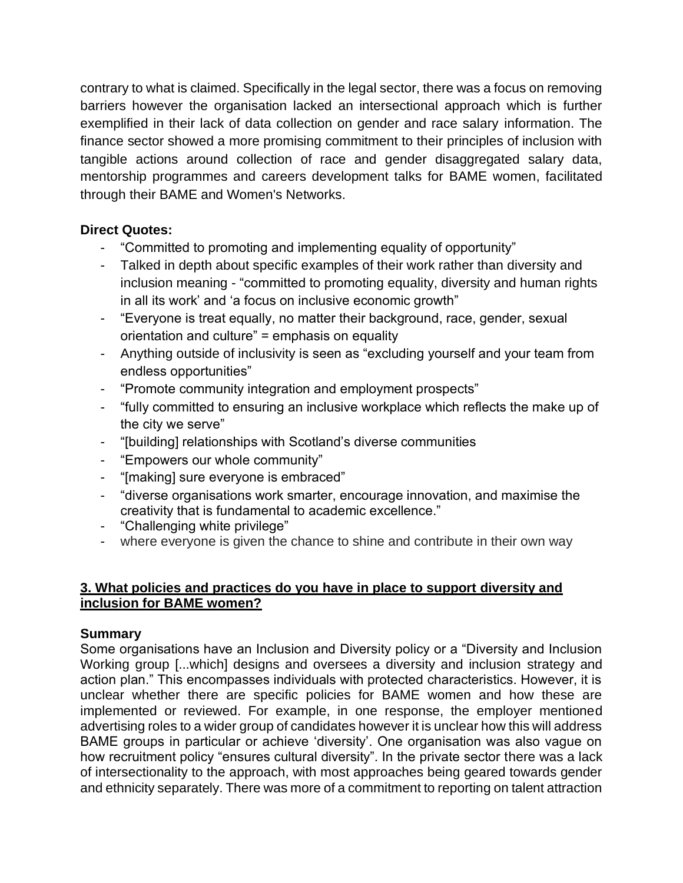contrary to what is claimed. Specifically in the legal sector, there was a focus on removing barriers however the organisation lacked an intersectional approach which is further exemplified in their lack of data collection on gender and race salary information. The finance sector showed a more promising commitment to their principles of inclusion with tangible actions around collection of race and gender disaggregated salary data, mentorship programmes and careers development talks for BAME women, facilitated through their BAME and Women's Networks.

## **Direct Quotes:**

- "Committed to promoting and implementing equality of opportunity"
- Talked in depth about specific examples of their work rather than diversity and inclusion meaning - "committed to promoting equality, diversity and human rights in all its work' and 'a focus on inclusive economic growth"
- "Everyone is treat equally, no matter their background, race, gender, sexual orientation and culture" = emphasis on equality
- Anything outside of inclusivity is seen as "excluding yourself and your team from endless opportunities"
- "Promote community integration and employment prospects"
- "fully committed to ensuring an inclusive workplace which reflects the make up of the city we serve"
- "[building] relationships with Scotland's diverse communities
- "Empowers our whole community"
- "[making] sure everyone is embraced"
- "diverse organisations work smarter, encourage innovation, and maximise the creativity that is fundamental to academic excellence."
- "Challenging white privilege"
- where everyone is given the chance to shine and contribute in their own way

## **3. What policies and practices do you have in place to support diversity and inclusion for BAME women?**

## **Summary**

Some organisations have an Inclusion and Diversity policy or a "Diversity and Inclusion Working group [...which] designs and oversees a diversity and inclusion strategy and action plan." This encompasses individuals with protected characteristics. However, it is unclear whether there are specific policies for BAME women and how these are implemented or reviewed. For example, in one response, the employer mentioned advertising roles to a wider group of candidates however it is unclear how this will address BAME groups in particular or achieve 'diversity'. One organisation was also vague on how recruitment policy "ensures cultural diversity". In the private sector there was a lack of intersectionality to the approach, with most approaches being geared towards gender and ethnicity separately. There was more of a commitment to reporting on talent attraction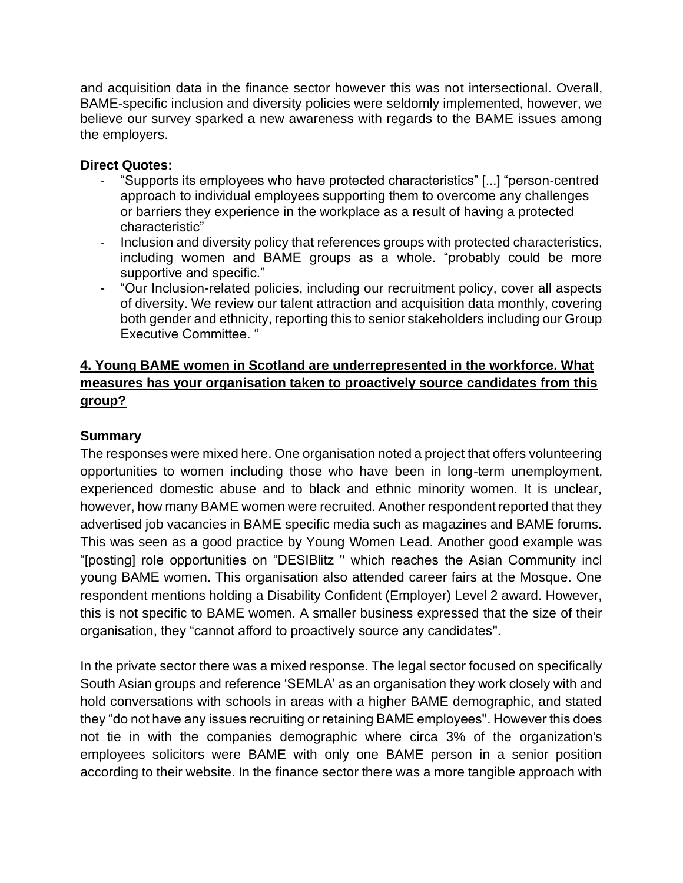and acquisition data in the finance sector however this was not intersectional. Overall, BAME-specific inclusion and diversity policies were seldomly implemented, however, we believe our survey sparked a new awareness with regards to the BAME issues among the employers.

### **Direct Quotes:**

- "Supports its employees who have protected characteristics" [...] "person-centred approach to individual employees supporting them to overcome any challenges or barriers they experience in the workplace as a result of having a protected characteristic"
- Inclusion and diversity policy that references groups with protected characteristics, including women and BAME groups as a whole. "probably could be more supportive and specific."
- "Our Inclusion-related policies, including our recruitment policy, cover all aspects of diversity. We review our talent attraction and acquisition data monthly, covering both gender and ethnicity, reporting this to senior stakeholders including our Group Executive Committee. "

## **4. Young BAME women in Scotland are underrepresented in the workforce. What measures has your organisation taken to proactively source candidates from this group?**

# **Summary**

The responses were mixed here. One organisation noted a project that offers volunteering opportunities to women including those who have been in long-term unemployment, experienced domestic abuse and to black and ethnic minority women. It is unclear, however, how many BAME women were recruited. Another respondent reported that they advertised job vacancies in BAME specific media such as magazines and BAME forums. This was seen as a good practice by Young Women Lead. Another good example was "[posting] role opportunities on "DESIBlitz '' which reaches the Asian Community incl young BAME women. This organisation also attended career fairs at the Mosque. One respondent mentions holding a Disability Confident (Employer) Level 2 award. However, this is not specific to BAME women. A smaller business expressed that the size of their organisation, they "cannot afford to proactively source any candidates''.

In the private sector there was a mixed response. The legal sector focused on specifically South Asian groups and reference 'SEMLA' as an organisation they work closely with and hold conversations with schools in areas with a higher BAME demographic, and stated they "do not have any issues recruiting or retaining BAME employees''. However this does not tie in with the companies demographic where circa 3% of the organization's employees solicitors were BAME with only one BAME person in a senior position according to their website. In the finance sector there was a more tangible approach with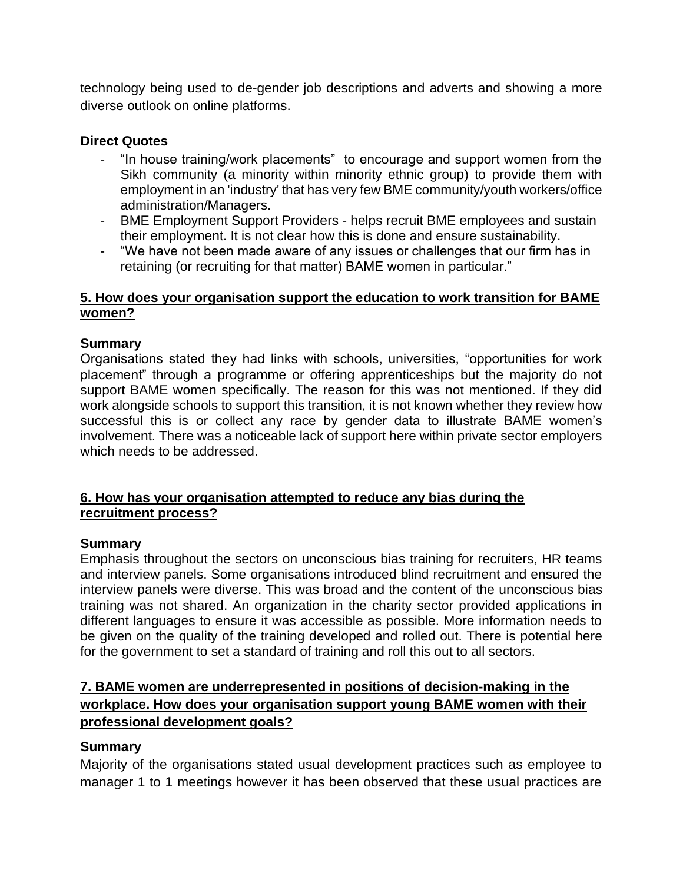technology being used to de-gender job descriptions and adverts and showing a more diverse outlook on online platforms.

### **Direct Quotes**

- "In house training/work placements" to encourage and support women from the Sikh community (a minority within minority ethnic group) to provide them with employment in an 'industry' that has very few BME community/youth workers/office administration/Managers.
- BME Employment Support Providers helps recruit BME employees and sustain their employment. It is not clear how this is done and ensure sustainability.
- "We have not been made aware of any issues or challenges that our firm has in retaining (or recruiting for that matter) BAME women in particular."

### **5. How does your organisation support the education to work transition for BAME women?**

### **Summary**

Organisations stated they had links with schools, universities, "opportunities for work placement" through a programme or offering apprenticeships but the majority do not support BAME women specifically. The reason for this was not mentioned. If they did work alongside schools to support this transition, it is not known whether they review how successful this is or collect any race by gender data to illustrate BAME women's involvement. There was a noticeable lack of support here within private sector employers which needs to be addressed.

#### **6. How has your organisation attempted to reduce any bias during the recruitment process?**

#### **Summary**

Emphasis throughout the sectors on unconscious bias training for recruiters, HR teams and interview panels. Some organisations introduced blind recruitment and ensured the interview panels were diverse. This was broad and the content of the unconscious bias training was not shared. An organization in the charity sector provided applications in different languages to ensure it was accessible as possible. More information needs to be given on the quality of the training developed and rolled out. There is potential here for the government to set a standard of training and roll this out to all sectors.

# **7. BAME women are underrepresented in positions of decision-making in the workplace. How does your organisation support young BAME women with their professional development goals?**

## **Summary**

Majority of the organisations stated usual development practices such as employee to manager 1 to 1 meetings however it has been observed that these usual practices are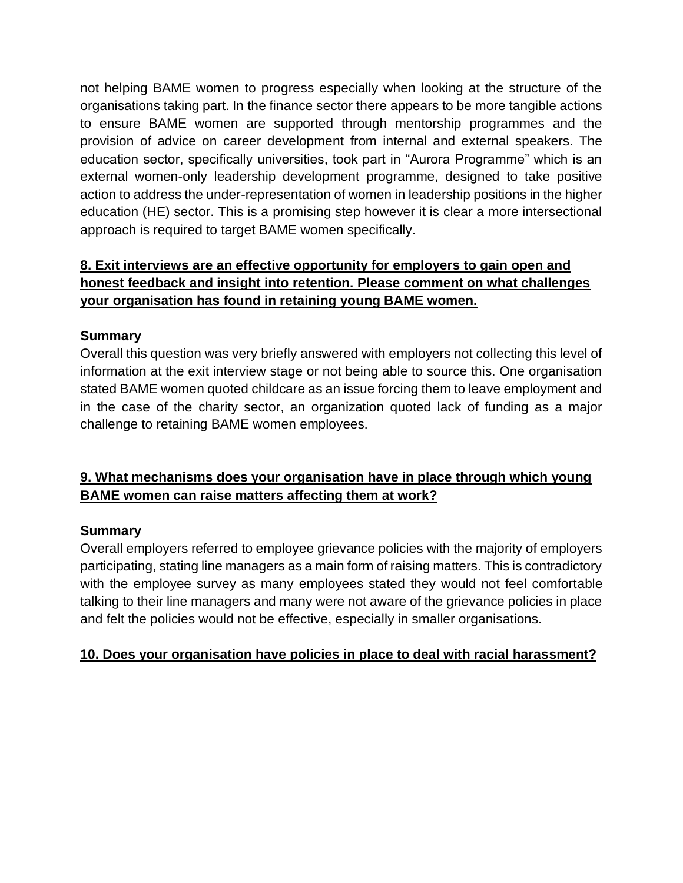not helping BAME women to progress especially when looking at the structure of the organisations taking part. In the finance sector there appears to be more tangible actions to ensure BAME women are supported through mentorship programmes and the provision of advice on career development from internal and external speakers. The education sector, specifically universities, took part in "Aurora Programme" which is an external women-only leadership development programme, designed to take positive action to address the under-representation of women in leadership positions in the higher education (HE) sector. This is a promising step however it is clear a more intersectional approach is required to target BAME women specifically.

# **8. Exit interviews are an effective opportunity for employers to gain open and honest feedback and insight into retention. Please comment on what challenges your organisation has found in retaining young BAME women.**

# **Summary**

Overall this question was very briefly answered with employers not collecting this level of information at the exit interview stage or not being able to source this. One organisation stated BAME women quoted childcare as an issue forcing them to leave employment and in the case of the charity sector, an organization quoted lack of funding as a major challenge to retaining BAME women employees.

# **9. What mechanisms does your organisation have in place through which young BAME women can raise matters affecting them at work?**

## **Summary**

Overall employers referred to employee grievance policies with the majority of employers participating, stating line managers as a main form of raising matters. This is contradictory with the employee survey as many employees stated they would not feel comfortable talking to their line managers and many were not aware of the grievance policies in place and felt the policies would not be effective, especially in smaller organisations.

## **10. Does your organisation have policies in place to deal with racial harassment?**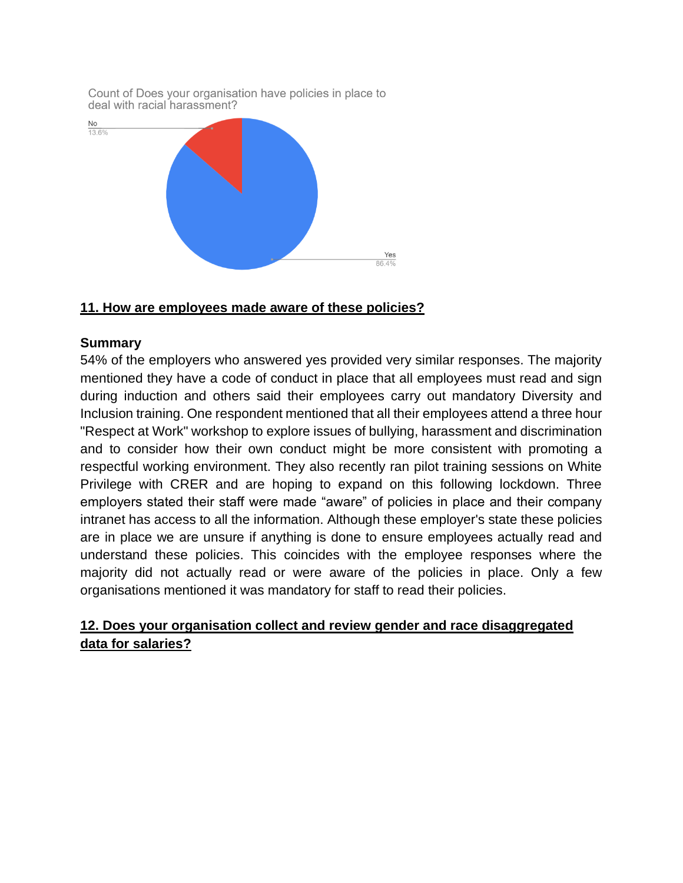

### **11. How are employees made aware of these policies?**

#### **Summary**

54% of the employers who answered yes provided very similar responses. The majority mentioned they have a code of conduct in place that all employees must read and sign during induction and others said their employees carry out mandatory Diversity and Inclusion training. One respondent mentioned that all their employees attend a three hour "Respect at Work" workshop to explore issues of bullying, harassment and discrimination and to consider how their own conduct might be more consistent with promoting a respectful working environment. They also recently ran pilot training sessions on White Privilege with CRER and are hoping to expand on this following lockdown. Three employers stated their staff were made "aware" of policies in place and their company intranet has access to all the information. Although these employer's state these policies are in place we are unsure if anything is done to ensure employees actually read and understand these policies. This coincides with the employee responses where the majority did not actually read or were aware of the policies in place. Only a few organisations mentioned it was mandatory for staff to read their policies.

## **12. Does your organisation collect and review gender and race disaggregated data for salaries?**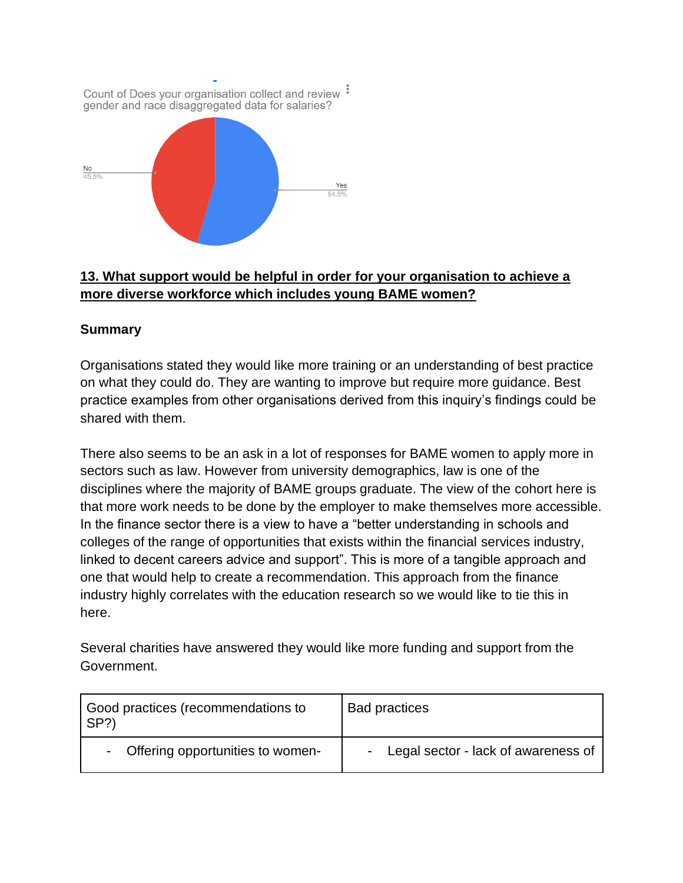

# **13. What support would be helpful in order for your organisation to achieve a more diverse workforce which includes young BAME women?**

# **Summary**

Organisations stated they would like more training or an understanding of best practice on what they could do. They are wanting to improve but require more guidance. Best practice examples from other organisations derived from this inquiry's findings could be shared with them.

There also seems to be an ask in a lot of responses for BAME women to apply more in sectors such as law. However from university demographics, law is one of the disciplines where the majority of BAME groups graduate. The view of the cohort here is that more work needs to be done by the employer to make themselves more accessible. In the finance sector there is a view to have a "better understanding in schools and colleges of the range of opportunities that exists within the financial services industry, linked to decent careers advice and support". This is more of a tangible approach and one that would help to create a recommendation. This approach from the finance industry highly correlates with the education research so we would like to tie this in here.

Several charities have answered they would like more funding and support from the Government.

| Good practices (recommendations to<br>l SP?) | <b>Bad practices</b>                  |
|----------------------------------------------|---------------------------------------|
| - Offering opportunities to women-           | - Legal sector - lack of awareness of |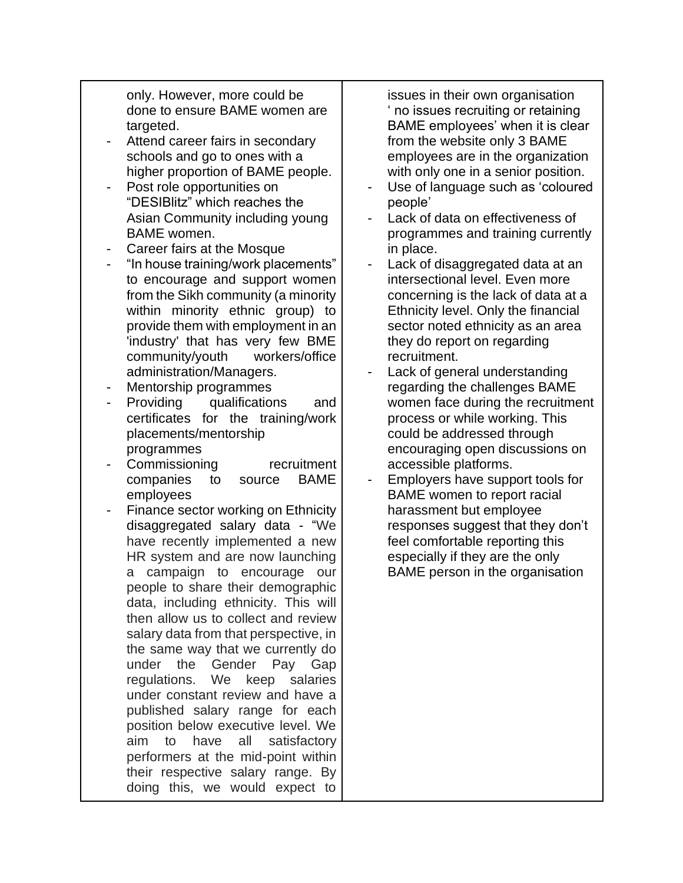only. However, more could be done to ensure BAME women are targeted.

- Attend career fairs in secondary schools and go to ones with a higher proportion of BAME people.
- Post role opportunities on "DESIBlitz" which reaches the Asian Community including young BAME women.
- Career fairs at the Mosque
- "In house training/work placements" to encourage and support women from the Sikh community (a minority within minority ethnic group) to provide them with employment in an 'industry' that has very few BME community/youth workers/office administration/Managers.
- Mentorship programmes
- Providing qualifications and certificates for the training/work placements/mentorship programmes
- Commissioning recruitment companies to source BAME employees
- Finance sector working on Ethnicity disaggregated salary data - "We have recently implemented a new HR system and are now launching a campaign to encourage our people to share their demographic data, including ethnicity. This will then allow us to collect and review salary data from that perspective, in the same way that we currently do under the Gender Pay Gap regulations. We keep salaries under constant review and have a published salary range for each position below executive level. We aim to have all satisfactory performers at the mid-point within their respective salary range. By doing this, we would expect to

issues in their own organisation ' no issues recruiting or retaining BAME employees' when it is clear from the website only 3 BAME employees are in the organization with only one in a senior position.

- Use of language such as 'coloured people'
- Lack of data on effectiveness of programmes and training currently in place.
- Lack of disaggregated data at an intersectional level. Even more concerning is the lack of data at a Ethnicity level. Only the financial sector noted ethnicity as an area they do report on regarding recruitment.
- Lack of general understanding regarding the challenges BAME women face during the recruitment process or while working. This could be addressed through encouraging open discussions on accessible platforms.
- Employers have support tools for BAME women to report racial harassment but employee responses suggest that they don't feel comfortable reporting this especially if they are the only BAME person in the organisation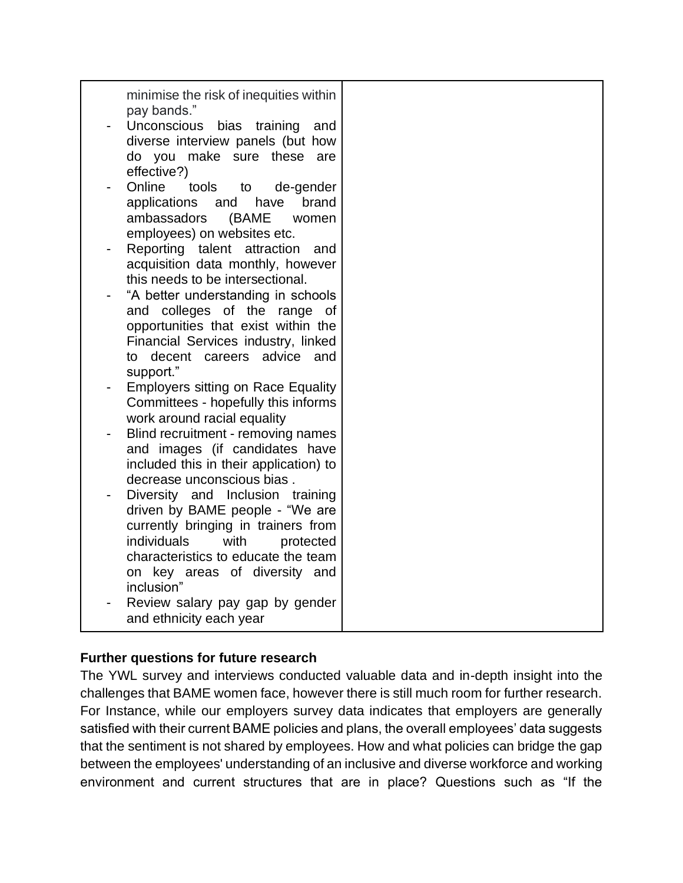| minimise the risk of inequities within<br>pay bands."<br>Unconscious bias training<br>and<br>diverse interview panels (but how<br>do you make sure these are<br>effective?)<br>Online<br>tools<br>to<br>de-gender<br>applications<br>have<br>brand<br>and<br>ambassadors<br>(BAME<br>women<br>employees) on websites etc.<br>Reporting talent attraction<br>and<br>acquisition data monthly, however<br>this needs to be intersectional.<br>"A better understanding in schools<br>and colleges of the range<br>of<br>opportunities that exist within the<br>Financial Services industry, linked<br>to decent careers advice and<br>support."<br><b>Employers sitting on Race Equality</b><br>Committees - hopefully this informs<br>work around racial equality<br>Blind recruitment - removing names<br>and images (if candidates have<br>included this in their application) to<br>decrease unconscious bias.<br>Diversity and Inclusion<br>training<br>driven by BAME people - "We are<br>currently bringing in trainers from<br>individuals<br>with<br>protected<br>characteristics to educate the team<br>on key areas of diversity and<br>inclusion"<br>Review salary pay gap by gender |  |
|-----------------------------------------------------------------------------------------------------------------------------------------------------------------------------------------------------------------------------------------------------------------------------------------------------------------------------------------------------------------------------------------------------------------------------------------------------------------------------------------------------------------------------------------------------------------------------------------------------------------------------------------------------------------------------------------------------------------------------------------------------------------------------------------------------------------------------------------------------------------------------------------------------------------------------------------------------------------------------------------------------------------------------------------------------------------------------------------------------------------------------------------------------------------------------------------------|--|
| and ethnicity each year                                                                                                                                                                                                                                                                                                                                                                                                                                                                                                                                                                                                                                                                                                                                                                                                                                                                                                                                                                                                                                                                                                                                                                       |  |

## **Further questions for future research**

The YWL survey and interviews conducted valuable data and in-depth insight into the challenges that BAME women face, however there is still much room for further research. For Instance, while our employers survey data indicates that employers are generally satisfied with their current BAME policies and plans, the overall employees' data suggests that the sentiment is not shared by employees. How and what policies can bridge the gap between the employees' understanding of an inclusive and diverse workforce and working environment and current structures that are in place? Questions such as "If the